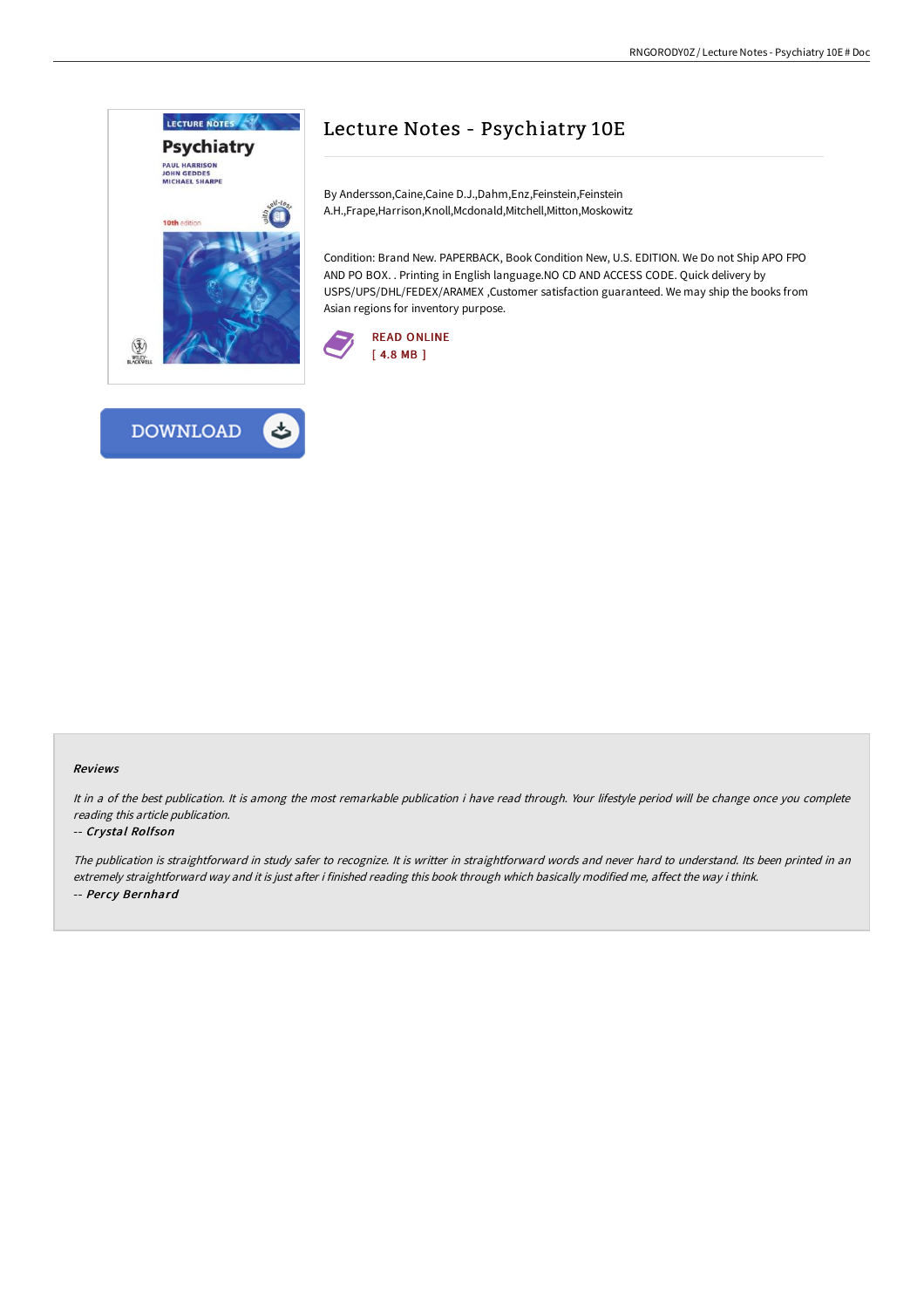

# Lecture Notes - Psychiatry 10E

By Andersson,Caine,Caine D.J.,Dahm,Enz,Feinstein,Feinstein A.H.,Frape,Harrison,Knoll,Mcdonald,Mitchell,Mitton,Moskowitz

Condition: Brand New. PAPERBACK, Book Condition New, U.S. EDITION. We Do not Ship APO FPO AND PO BOX. . Printing in English language.NO CD AND ACCESS CODE. Quick delivery by USPS/UPS/DHL/FEDEX/ARAMEX ,Customer satisfaction guaranteed. We may ship the books from Asian regions for inventory purpose.





#### Reviews

It in <sup>a</sup> of the best publication. It is among the most remarkable publication i have read through. Your lifestyle period will be change once you complete reading this article publication.

#### -- Crystal Rolfson

The publication is straightforward in study safer to recognize. It is writter in straightforward words and never hard to understand. Its been printed in an extremely straightforward way and it is just after i finished reading this book through which basically modified me, affect the way i think. -- Percy Bernhard